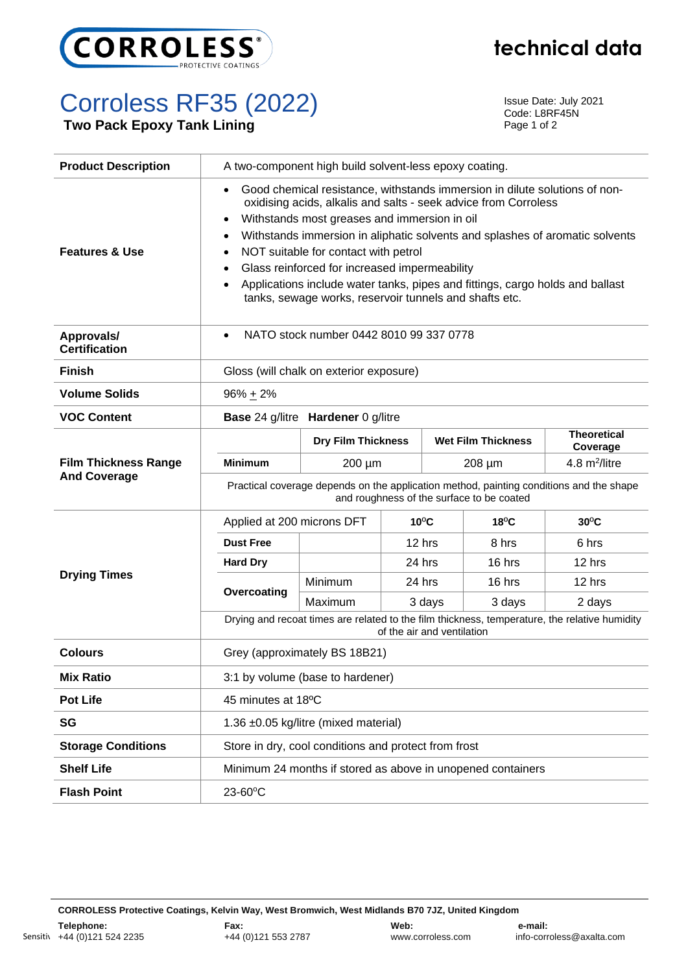

## **technical data**

## Corroless RF35 (2022)

**Two Pack Epoxy Tank Lining**

Issue Date: July 2021 Code: L8RF45N Page 1 of 2

| <b>Product Description</b>                         | A two-component high build solvent-less epoxy coating.                                                                                                                                                                                                                                                                                                                                                                                                                                                                                                                                          |                                                      |                            |             |                                                             |                                                                                               |  |  |  |
|----------------------------------------------------|-------------------------------------------------------------------------------------------------------------------------------------------------------------------------------------------------------------------------------------------------------------------------------------------------------------------------------------------------------------------------------------------------------------------------------------------------------------------------------------------------------------------------------------------------------------------------------------------------|------------------------------------------------------|----------------------------|-------------|-------------------------------------------------------------|-----------------------------------------------------------------------------------------------|--|--|--|
| <b>Features &amp; Use</b>                          | Good chemical resistance, withstands immersion in dilute solutions of non-<br>$\bullet$<br>oxidising acids, alkalis and salts - seek advice from Corroless<br>Withstands most greases and immersion in oil<br>$\bullet$<br>Withstands immersion in aliphatic solvents and splashes of aromatic solvents<br>$\bullet$<br>NOT suitable for contact with petrol<br>$\bullet$<br>Glass reinforced for increased impermeability<br>$\bullet$<br>Applications include water tanks, pipes and fittings, cargo holds and ballast<br>$\bullet$<br>tanks, sewage works, reservoir tunnels and shafts etc. |                                                      |                            |             |                                                             |                                                                                               |  |  |  |
| Approvals/<br><b>Certification</b>                 | NATO stock number 0442 8010 99 337 0778<br>$\bullet$                                                                                                                                                                                                                                                                                                                                                                                                                                                                                                                                            |                                                      |                            |             |                                                             |                                                                                               |  |  |  |
| <b>Finish</b>                                      | Gloss (will chalk on exterior exposure)                                                                                                                                                                                                                                                                                                                                                                                                                                                                                                                                                         |                                                      |                            |             |                                                             |                                                                                               |  |  |  |
| <b>Volume Solids</b>                               | $96\% + 2\%$                                                                                                                                                                                                                                                                                                                                                                                                                                                                                                                                                                                    |                                                      |                            |             |                                                             |                                                                                               |  |  |  |
| <b>VOC Content</b>                                 |                                                                                                                                                                                                                                                                                                                                                                                                                                                                                                                                                                                                 | <b>Base 24 g/litre Hardener 0 g/litre</b>            |                            |             |                                                             |                                                                                               |  |  |  |
| <b>Film Thickness Range</b><br><b>And Coverage</b> |                                                                                                                                                                                                                                                                                                                                                                                                                                                                                                                                                                                                 |                                                      | <b>Dry Film Thickness</b>  |             | <b>Wet Film Thickness</b>                                   | <b>Theoretical</b><br>Coverage                                                                |  |  |  |
|                                                    | <b>Minimum</b>                                                                                                                                                                                                                                                                                                                                                                                                                                                                                                                                                                                  | 200 µm                                               |                            | $208 \mu m$ |                                                             | 4.8 m <sup>2</sup> /litre                                                                     |  |  |  |
|                                                    | Practical coverage depends on the application method, painting conditions and the shape<br>and roughness of the surface to be coated                                                                                                                                                                                                                                                                                                                                                                                                                                                            |                                                      |                            |             |                                                             |                                                                                               |  |  |  |
|                                                    |                                                                                                                                                                                                                                                                                                                                                                                                                                                                                                                                                                                                 |                                                      |                            |             |                                                             |                                                                                               |  |  |  |
|                                                    | Applied at 200 microns DFT                                                                                                                                                                                                                                                                                                                                                                                                                                                                                                                                                                      |                                                      | $10^{\circ}$ C             |             | $18^{\circ}$ C                                              | $30^{\circ}$ C                                                                                |  |  |  |
|                                                    | <b>Dust Free</b>                                                                                                                                                                                                                                                                                                                                                                                                                                                                                                                                                                                |                                                      | 12 hrs                     |             | 8 hrs                                                       | 6 hrs                                                                                         |  |  |  |
|                                                    | <b>Hard Dry</b>                                                                                                                                                                                                                                                                                                                                                                                                                                                                                                                                                                                 |                                                      | 24 hrs                     |             | 16 hrs                                                      | 12 hrs                                                                                        |  |  |  |
| <b>Drying Times</b>                                |                                                                                                                                                                                                                                                                                                                                                                                                                                                                                                                                                                                                 | Minimum                                              | 24 hrs                     |             | 16 hrs                                                      | 12 hrs                                                                                        |  |  |  |
|                                                    | Overcoating                                                                                                                                                                                                                                                                                                                                                                                                                                                                                                                                                                                     | Maximum                                              |                            | 3 days      | 3 days                                                      | 2 days                                                                                        |  |  |  |
|                                                    |                                                                                                                                                                                                                                                                                                                                                                                                                                                                                                                                                                                                 |                                                      | of the air and ventilation |             |                                                             | Drying and recoat times are related to the film thickness, temperature, the relative humidity |  |  |  |
| <b>Colours</b>                                     |                                                                                                                                                                                                                                                                                                                                                                                                                                                                                                                                                                                                 | Grey (approximately BS 18B21)                        |                            |             |                                                             |                                                                                               |  |  |  |
| <b>Mix Ratio</b>                                   |                                                                                                                                                                                                                                                                                                                                                                                                                                                                                                                                                                                                 | 3:1 by volume (base to hardener)                     |                            |             |                                                             |                                                                                               |  |  |  |
| <b>Pot Life</b>                                    | 45 minutes at 18°C                                                                                                                                                                                                                                                                                                                                                                                                                                                                                                                                                                              |                                                      |                            |             |                                                             |                                                                                               |  |  |  |
| SG                                                 |                                                                                                                                                                                                                                                                                                                                                                                                                                                                                                                                                                                                 | 1.36 ±0.05 kg/litre (mixed material)                 |                            |             |                                                             |                                                                                               |  |  |  |
| <b>Storage Conditions</b>                          |                                                                                                                                                                                                                                                                                                                                                                                                                                                                                                                                                                                                 | Store in dry, cool conditions and protect from frost |                            |             |                                                             |                                                                                               |  |  |  |
| <b>Shelf Life</b>                                  |                                                                                                                                                                                                                                                                                                                                                                                                                                                                                                                                                                                                 |                                                      |                            |             | Minimum 24 months if stored as above in unopened containers |                                                                                               |  |  |  |